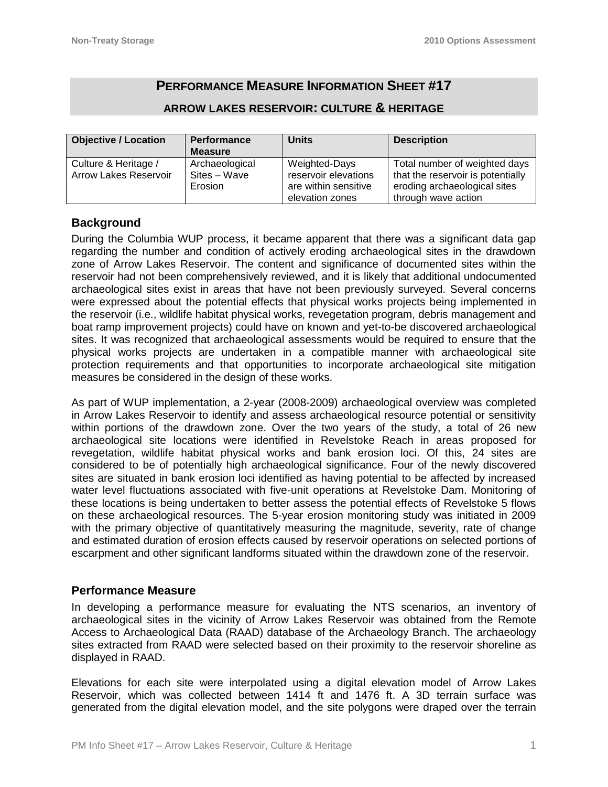# **PERFORMANCE MEASURE INFORMATION SHEET #17**

# **ARROW LAKES RESERVOIR: CULTURE & HERITAGE**

| <b>Objective / Location</b> | <b>Performance</b> | <b>Units</b>         | <b>Description</b>                |  |
|-----------------------------|--------------------|----------------------|-----------------------------------|--|
|                             | <b>Measure</b>     |                      |                                   |  |
| Culture & Heritage /        | Archaeological     | Weighted-Days        | Total number of weighted days     |  |
| Arrow Lakes Reservoir       | Sites - Wave       | reservoir elevations | that the reservoir is potentially |  |
|                             | Erosion            | are within sensitive | eroding archaeological sites      |  |
|                             |                    | elevation zones      | through wave action               |  |

# **Background**

During the Columbia WUP process, it became apparent that there was a significant data gap regarding the number and condition of actively eroding archaeological sites in the drawdown zone of Arrow Lakes Reservoir. The content and significance of documented sites within the reservoir had not been comprehensively reviewed, and it is likely that additional undocumented archaeological sites exist in areas that have not been previously surveyed. Several concerns were expressed about the potential effects that physical works projects being implemented in the reservoir (i.e., wildlife habitat physical works, revegetation program, debris management and boat ramp improvement projects) could have on known and yet-to-be discovered archaeological sites. It was recognized that archaeological assessments would be required to ensure that the physical works projects are undertaken in a compatible manner with archaeological site protection requirements and that opportunities to incorporate archaeological site mitigation measures be considered in the design of these works.

As part of WUP implementation, a 2-year (2008-2009) archaeological overview was completed in Arrow Lakes Reservoir to identify and assess archaeological resource potential or sensitivity within portions of the drawdown zone. Over the two years of the study, a total of 26 new archaeological site locations were identified in Revelstoke Reach in areas proposed for revegetation, wildlife habitat physical works and bank erosion loci. Of this, 24 sites are considered to be of potentially high archaeological significance. Four of the newly discovered sites are situated in bank erosion loci identified as having potential to be affected by increased water level fluctuations associated with five-unit operations at Revelstoke Dam. Monitoring of these locations is being undertaken to better assess the potential effects of Revelstoke 5 flows on these archaeological resources. The 5-year erosion monitoring study was initiated in 2009 with the primary objective of quantitatively measuring the magnitude, severity, rate of change and estimated duration of erosion effects caused by reservoir operations on selected portions of escarpment and other significant landforms situated within the drawdown zone of the reservoir.

## **Performance Measure**

In developing a performance measure for evaluating the NTS scenarios, an inventory of archaeological sites in the vicinity of Arrow Lakes Reservoir was obtained from the Remote Access to Archaeological Data (RAAD) database of the Archaeology Branch. The archaeology sites extracted from RAAD were selected based on their proximity to the reservoir shoreline as displayed in RAAD.

Elevations for each site were interpolated using a digital elevation model of Arrow Lakes Reservoir, which was collected between 1414 ft and 1476 ft. A 3D terrain surface was generated from the digital elevation model, and the site polygons were draped over the terrain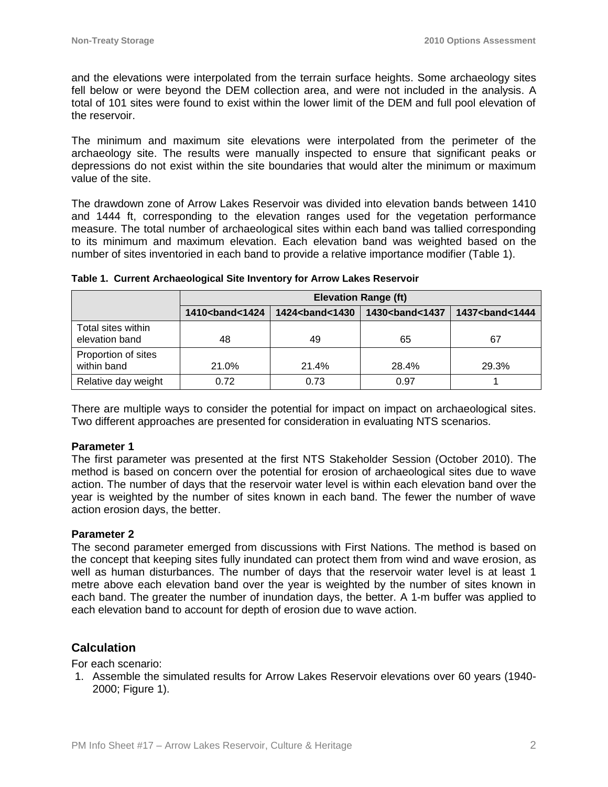and the elevations were interpolated from the terrain surface heights. Some archaeology sites fell below or were beyond the DEM collection area, and were not included in the analysis. A total of 101 sites were found to exist within the lower limit of the DEM and full pool elevation of the reservoir.

The minimum and maximum site elevations were interpolated from the perimeter of the archaeology site. The results were manually inspected to ensure that significant peaks or depressions do not exist within the site boundaries that would alter the minimum or maximum value of the site.

The drawdown zone of Arrow Lakes Reservoir was divided into elevation bands between 1410 and 1444 ft, corresponding to the elevation ranges used for the vegetation performance measure. The total number of archaeological sites within each band was tallied corresponding to its minimum and maximum elevation. Each elevation band was weighted based on the number of sites inventoried in each band to provide a relative importance modifier (Table 1).

|                                      | <b>Elevation Range (ft)</b> |                             |                             |                             |  |
|--------------------------------------|-----------------------------|-----------------------------|-----------------------------|-----------------------------|--|
|                                      | 1410<br><b>band&lt;1424</b> | 1424<br><b>hand&lt;1430</b> | 1430<br><b>band&lt;1437</b> | 1437<br><b>band&lt;1444</b> |  |
| Total sites within<br>elevation band | 48                          | 49                          | 65                          | 67                          |  |
| Proportion of sites<br>within band   | 21.0%                       | 21.4%                       | 28.4%                       | 29.3%                       |  |
| Relative day weight                  | 0.72                        | 0.73                        | 0.97                        |                             |  |

**Table 1. Current Archaeological Site Inventory for Arrow Lakes Reservoir**

There are multiple ways to consider the potential for impact on impact on archaeological sites. Two different approaches are presented for consideration in evaluating NTS scenarios.

#### **Parameter 1**

The first parameter was presented at the first NTS Stakeholder Session (October 2010). The method is based on concern over the potential for erosion of archaeological sites due to wave action. The number of days that the reservoir water level is within each elevation band over the year is weighted by the number of sites known in each band. The fewer the number of wave action erosion days, the better.

#### **Parameter 2**

The second parameter emerged from discussions with First Nations. The method is based on the concept that keeping sites fully inundated can protect them from wind and wave erosion, as well as human disturbances. The number of days that the reservoir water level is at least 1 metre above each elevation band over the year is weighted by the number of sites known in each band. The greater the number of inundation days, the better. A 1-m buffer was applied to each elevation band to account for depth of erosion due to wave action.

### **Calculation**

For each scenario:

1. Assemble the simulated results for Arrow Lakes Reservoir elevations over 60 years (1940- 2000; Figure 1).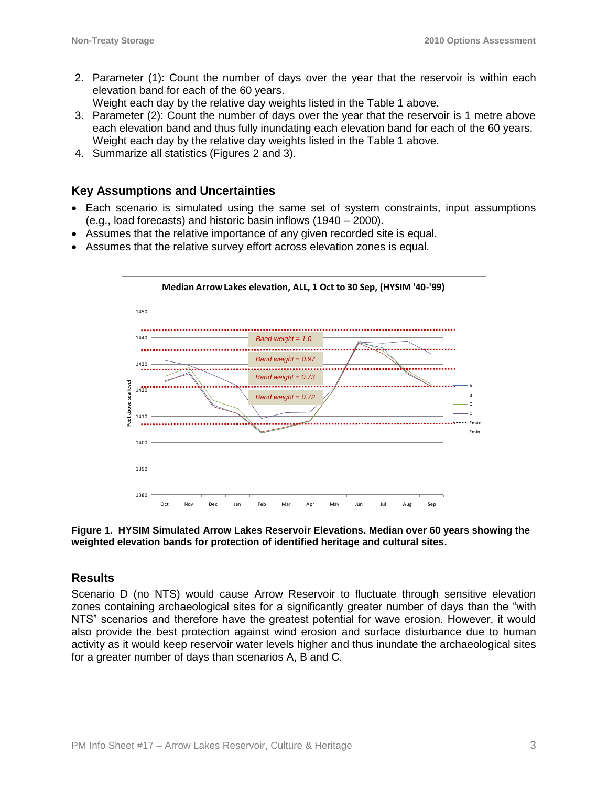2. Parameter (1): Count the number of days over the year that the reservoir is within each elevation band for each of the 60 years.

Weight each day by the relative day weights listed in the Table 1 above.

- 3. Parameter (2): Count the number of days over the year that the reservoir is 1 metre above each elevation band and thus fully inundating each elevation band for each of the 60 years. Weight each day by the relative day weights listed in the Table 1 above.
- 4. Summarize all statistics (Figures 2 and 3).

### **Key Assumptions and Uncertainties**

- Each scenario is simulated using the same set of system constraints, input assumptions (e.g., load forecasts) and historic basin inflows (1940 – 2000).
- Assumes that the relative importance of any given recorded site is equal.
- Assumes that the relative survey effort across elevation zones is equal.



**Figure 1. HYSIM Simulated Arrow Lakes Reservoir Elevations. Median over 60 years showing the weighted elevation bands for protection of identified heritage and cultural sites.**

### **Results**

Scenario D (no NTS) would cause Arrow Reservoir to fluctuate through sensitive elevation zones containing archaeological sites for a significantly greater number of days than the "with NTS" scenarios and therefore have the greatest potential for wave erosion. However, it would also provide the best protection against wind erosion and surface disturbance due to human activity as it would keep reservoir water levels higher and thus inundate the archaeological sites for a greater number of days than scenarios A, B and C.